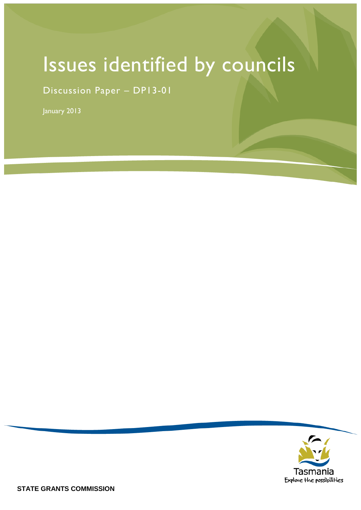# Issues identified by councils

Discussion Paper – DP13-01

January 2013

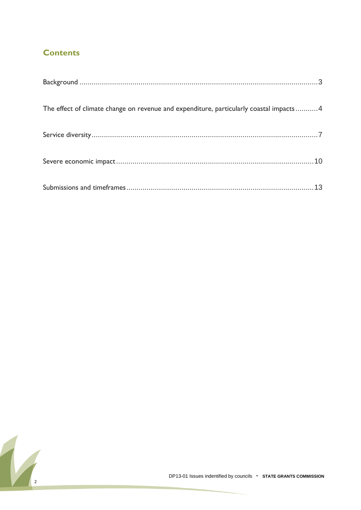### **Contents**

| The effect of climate change on revenue and expenditure, particularly coastal impacts 4 |
|-----------------------------------------------------------------------------------------|
|                                                                                         |
|                                                                                         |
|                                                                                         |

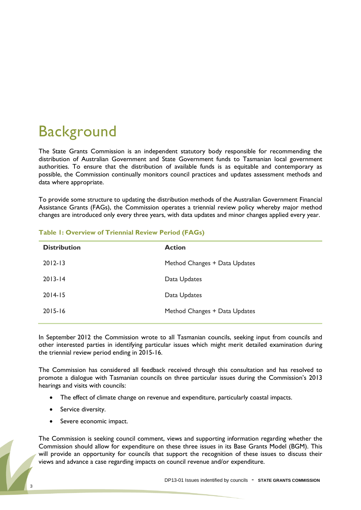# <span id="page-2-0"></span>**Background**

The State Grants Commission is an independent statutory body responsible for recommending the distribution of Australian Government and State Government funds to Tasmanian local government authorities. To ensure that the distribution of available funds is as equitable and contemporary as possible, the Commission continually monitors council practices and updates assessment methods and data where appropriate.

To provide some structure to updating the distribution methods of the Australian Government Financial Assistance Grants (FAGs), the Commission operates a triennial review policy whereby major method changes are introduced only every three years, with data updates and minor changes applied every year.

| <b>Distribution</b> | <b>Action</b>                 |
|---------------------|-------------------------------|
| $2012 - 13$         | Method Changes + Data Updates |
| $2013 - 14$         | Data Updates                  |
| $2014 - 15$         | Data Updates                  |
| $2015 - 16$         | Method Changes + Data Updates |
|                     |                               |

#### **Table 1: Overview of Triennial Review Period (FAGs)**

In September 2012 the Commission wrote to all Tasmanian councils, seeking input from councils and other interested parties in identifying particular issues which might merit detailed examination during the triennial review period ending in 2015-16.

The Commission has considered all feedback received through this consultation and has resolved to promote a dialogue with Tasmanian councils on three particular issues during the Commission's 2013 hearings and visits with councils:

- The effect of climate change on revenue and expenditure, particularly coastal impacts.
- Service diversity.
- Severe economic impact.

The Commission is seeking council comment, views and supporting information regarding whether the Commission should allow for expenditure on these three issues in its Base Grants Model (BGM). This will provide an opportunity for councils that support the recognition of these issues to discuss their views and advance a case regarding impacts on council revenue and/or expenditure.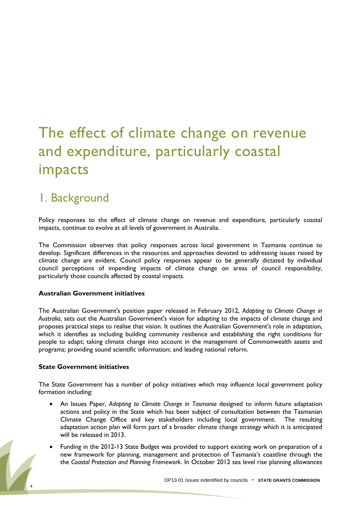# <span id="page-3-0"></span>The effect of climate change on revenue and expenditure, particularly coastal impacts

## 1. Background

Policy responses to the effect of climate change on revenue and expenditure, particularly coastal impacts, continue to evolve at all levels of government in Australia.

The Commission observes that policy responses across local government in Tasmania continue to develop. Significant differences in the resources and approaches devoted to addressing issues raised by climate change are evident. Council policy responses appear to be generally dictated by individual council perceptions of impending impacts of climate change on areas of council responsibility, particularly those councils affected by coastal impacts.

#### **Australian Government initiatives**

The Australian Government's position paper released in February 2012, *Adapting to Climate Change in Australia*, sets out the Australian Government's vision for adapting to the impacts of climate change and proposes practical steps to realise that vision. It outlines the Australian Government's role in adaptation, which it identifies as including building community resilience and establishing the right conditions for people to adapt; taking climate change into account in the management of Commonwealth assets and programs; providing sound scientific information; and leading national reform.

#### **State Government initiatives**

The State Government has a number of policy initiatives which may influence local government policy formation including:

- An Issues Paper, *Adapting to Climate Change in Tasmania* designed to inform future adaptation actions and policy in the State which has been subject of consultation between the Tasmanian Climate Change Office and key stakeholders including local government. The resulting adaptation action plan will form part of a broader climate change strategy which it is anticipated will be released in 2013.
- Funding in the 2012-13 State Budget was provided to support existing work on preparation of a new framework for planning, management and protection of Tasmania's coastline through the the *Coastal Protection and Planning Framework*. In October 2012 sea level rise planning allowances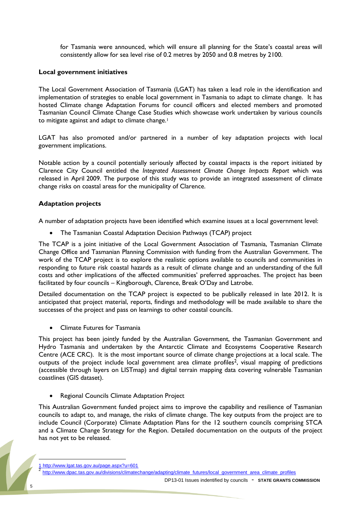for Tasmania were announced, which will ensure all planning for the State's coastal areas will consistently allow for sea level rise of 0.2 metres by 2050 and 0.8 metres by 2100.

#### **Local government initiatives**

The Local Government Association of Tasmania (LGAT) has taken a lead role in the identification and implementation of strategies to enable local government in Tasmania to adapt to climate change. It has hosted Climate change Adaptation Forums for council officers and elected members and promoted Tasmanian Council Climate Change Case Studies which showcase work undertaken by various councils to mitigate against and adapt to climate change.<sup>1</sup>

LGAT has also promoted and/or partnered in a number of key adaptation projects with local government implications.

Notable action by a council potentially seriously affected by coastal impacts is the report initiated by Clarence City Council entitled the *Integrated Assessment Climate Change Impacts Report* which was released in April 2009. The purpose of this study was to provide an integrated assessment of climate change risks on coastal areas for the municipality of Clarence.

#### **Adaptation projects**

A number of adaptation projects have been identified which examine issues at a local government level:

The Tasmanian Coastal Adaptation Decision Pathways (TCAP) project

The TCAP is a joint initiative of the Local Government Association of Tasmania, Tasmanian Climate Change Office and Tasmanian Planning Commission with funding from the Australian Government. The work of the TCAP project is to explore the realistic options available to councils and communities in responding to future risk coastal hazards as a result of climate change and an understanding of the full costs and other implications of the affected communities" preferred approaches. The project has been facilitated by four councils – Kingborough, Clarence, Break O"Day and Latrobe.

Detailed documentation on the TCAP project is expected to be publically released in late 2012. It is anticipated that project material, reports, findings and methodology will be made available to share the successes of the project and pass on learnings to other coastal councils.

Climate Futures for Tasmania

This project has been jointly funded by the Australian Government, the Tasmanian Government and Hydro Tasmania and undertaken by the Antarctic Climate and Ecosystems Cooperative Research Centre (ACE CRC). It is the most important source of climate change projections at a local scale. The outputs of the project include local government area climate profiles<sup>2</sup>, visual mapping of predictions (accessible through layers on LISTmap) and digital terrain mapping data covering vulnerable Tasmanian coastlines (GIS dataset).

• Regional Councils Climate Adaptation Project

This Australian Government funded project aims to improve the capability and resilience of Tasmanian councils to adapt to, and manage, the risks of climate change. The key outputs from the project are to include Council (Corporate) Climate Adaptation Plans for the 12 southern councils comprising STCA and a Climate Change Strategy for the Region. Detailed documentation on the outputs of the project has not yet to be released.

 $\overline{a}$ 

http://www.lgat.tas.gov.au/page.aspx?u=601

<sup>2</sup> [http://www.dpac.tas.gov.au/divisions/climatechange/adapting/climate\\_futures/local\\_government\\_area\\_climate\\_profiles](http://www.dpac.tas.gov.au/divisions/climatechange/adapting/climate_futures/local_government_area_climate_profiles)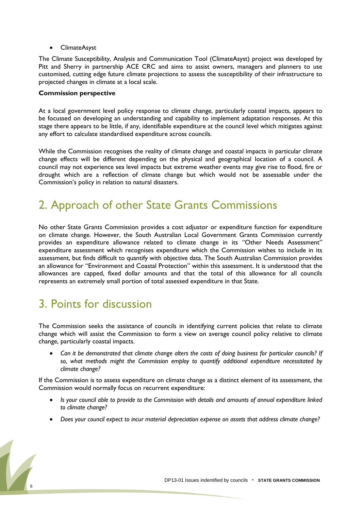ClimateAsyst

The Climate Susceptibility, Analysis and Communication Tool (ClimateAsyst) project was developed by Pitt and Sherry in partnership ACE CRC and aims to assist owners, managers and planners to use customised, cutting edge future climate projections to assess the susceptibility of their infrastructure to projected changes in climate at a local scale.

#### **Commission perspective**

At a local government level policy response to climate change, particularly coastal impacts, appears to be focussed on developing an understanding and capability to implement adaptation responses. At this stage there appears to be little, if any, identifiable expenditure at the council level which mitigates against any effort to calculate standardised expenditure across councils.

While the Commission recognises the reality of climate change and coastal impacts in particular climate change effects will be different depending on the physical and geographical location of a council. A council may not experience sea level impacts but extreme weather events may give rise to flood, fire or drought which are a reflection of climate change but which would not be assessable under the Commission"s policy in relation to natural disasters.

# 2. Approach of other State Grants Commissions

No other State Grants Commission provides a cost adjustor or expenditure function for expenditure on climate change. However, the South Australian Local Government Grants Commission currently provides an expenditure allowance related to climate change in its "Other Needs Assessment" expenditure assessment which recognises expenditure which the Commission wishes to include in its assessment, but finds difficult to quantify with objective data. The South Australian Commission provides an allowance for "Environment and Coastal Protection" within this assessment. It is understood that the allowances are capped, fixed dollar amounts and that the total of this allowance for all councils represents an extremely small portion of total assessed expenditure in that State.

### 3. Points for discussion

The Commission seeks the assistance of councils in identifying current policies that relate to climate change which will assist the Commission to form a view on average council policy relative to climate change, particularly coastal impacts.

 *Can it be demonstrated that climate change alters the costs of doing business for particular councils? If so, what methods might the Commission employ to quantify additional expenditure necessitated by climate change?*

If the Commission is to assess expenditure on climate change as a distinct element of its assessment, the Commission would normally focus on recurrent expenditure:

- *Is your council able to provide to the Commission with details and amounts of annual expenditure linked to climate change?*
- *Does your council expect to incur material depreciation expense on assets that address climate change?*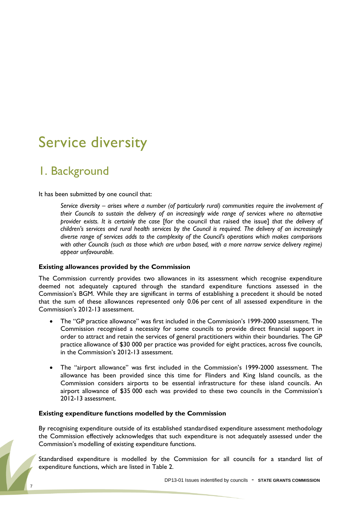# <span id="page-6-0"></span>Service diversity

# 1. Background

It has been submitted by one council that:

*Service diversity – arises where a number (of particularly rural) communities require the involvement of their Councils to sustain the delivery of an increasingly wide range of services where no alternative provider exists. It is certainly the case* [for the council that raised the issue] *that the delivery of children's services and rural health services by the Council is required. The delivery of an increasingly diverse range of services adds to the complexity of the Council's operations which makes comparisons with other Councils (such as those which are urban based, with a more narrow service delivery regime) appear unfavourable.*

#### **Existing allowances provided by the Commission**

The Commission currently provides two allowances in its assessment which recognise expenditure deemed not adequately captured through the standard expenditure functions assessed in the Commission's BGM. While they are significant in terms of establishing a precedent it should be noted that the sum of these allowances represented only 0.06 per cent of all assessed expenditure in the Commission"s 2012-13 assessment.

- The "GP practice allowance" was first included in the Commission's 1999-2000 assessment. The Commission recognised a necessity for some councils to provide direct financial support in order to attract and retain the services of general practitioners within their boundaries. The GP practice allowance of \$30 000 per practice was provided for eight practices, across five councils, in the Commission's 2012-13 assessment.
- The "airport allowance" was first included in the Commission's 1999-2000 assessment. The allowance has been provided since this time for Flinders and King Island councils, as the Commission considers airports to be essential infrastructure for these island councils. An airport allowance of \$35 000 each was provided to these two councils in the Commission"s 2012-13 assessment.

#### **Existing expenditure functions modelled by the Commission**

By recognising expenditure outside of its established standardised expenditure assessment methodology the Commission effectively acknowledges that such expenditure is not adequately assessed under the Commission"s modelling of existing expenditure functions.

Standardised expenditure is modelled by the Commission for all councils for a standard list of expenditure functions, which are listed in Table 2.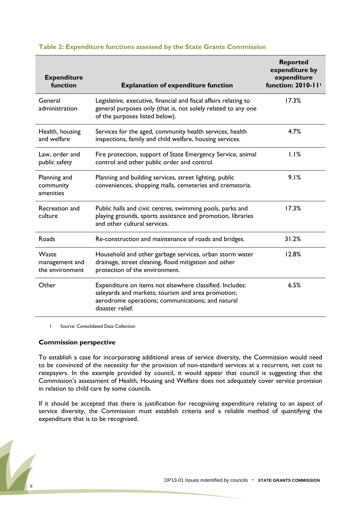| <b>Expenditure</b><br>function                    | <b>Explanation of expenditure function</b>                                                                                                                                              | <b>Reported</b><br>expenditure by<br>expenditure<br>function: 2010-11' |
|---------------------------------------------------|-----------------------------------------------------------------------------------------------------------------------------------------------------------------------------------------|------------------------------------------------------------------------|
| General<br>administration                         | Legislative, executive, financial and fiscal affairs relating to<br>general purposes only (that is, not solely related to any one<br>of the purposes listed below).                     | 17.3%                                                                  |
| Health, housing<br>and welfare                    | Services for the aged, community health services, health<br>inspections, family and child welfare, housing services.                                                                    | 4.7%                                                                   |
| Law, order and<br>public safety                   | Fire protection, support of State Emergency Service, animal<br>control and other public order and control.                                                                              | 1.1%                                                                   |
| Planning and<br>community<br>amenities            | Planning and building services, street lighting, public<br>conveniences, shopping malls, cemeteries and crematoria.                                                                     | 9.1%                                                                   |
| Recreation and<br>culture                         | Public halls and civic centres, swimming pools, parks and<br>playing grounds, sports assistance and promotion, libraries<br>and other cultural services.                                | 17.3%                                                                  |
| Roads                                             | Re-construction and maintenance of roads and bridges.                                                                                                                                   | 31.2%                                                                  |
| <b>Waste</b><br>management and<br>the environment | Household and other garbage services, urban storm water<br>drainage, street cleaning, flood mitigation and other<br>protection of the environment.                                      | 12.8%                                                                  |
| Other                                             | Expenditure on items not elsewhere classified. Includes:<br>saleyards and markets; tourism and area promotion;<br>aerodrome operations; communications; and natural<br>disaster relief. | 6.5%                                                                   |

#### **Table 2: Expenditure functions assessed by the State Grants Commission**

1 Source: Consolidated Data Collection

#### **Commission perspective**

To establish a case for incorporating additional areas of service diversity, the Commission would need to be convinced of the necessity for the provision of non-standard services at a recurrent, net cost to ratepayers. In the example provided by council, it would appear that council is suggesting that the Commission's assessment of Health, Housing and Welfare does not adequately cover service provision in relation to child care by some councils.

If it should be accepted that there is justification for recognising expenditure relating to an aspect of service diversity, the Commission must establish criteria and a reliable method of quantifying the expenditure that is to be recognised.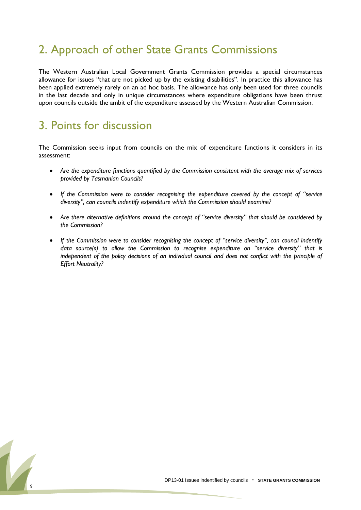# 2. Approach of other State Grants Commissions

The Western Australian Local Government Grants Commission provides a special circumstances allowance for issues "that are not picked up by the existing disabilities". In practice this allowance has been applied extremely rarely on an ad hoc basis. The allowance has only been used for three councils in the last decade and only in unique circumstances where expenditure obligations have been thrust upon councils outside the ambit of the expenditure assessed by the Western Australian Commission.

# 3. Points for discussion

The Commission seeks input from councils on the mix of expenditure functions it considers in its assessment:

- *Are the expenditure functions quantified by the Commission consistent with the average mix of services provided by Tasmanian Councils?*
- If the Commission were to consider recognising the expenditure covered by the concept of "service *diversity", can councils indentify expenditure which the Commission should examine?*
- *Are there alternative definitions around the concept of "service diversity" that should be considered by the Commission?*
- If the Commission were to consider recognising the concept of "service diversity", can council indentify *data source(s) to allow the Commission to recognise expenditure on "service diversity" that is independent of the policy decisions of an individual council and does not conflict with the principle of Effort Neutrality?*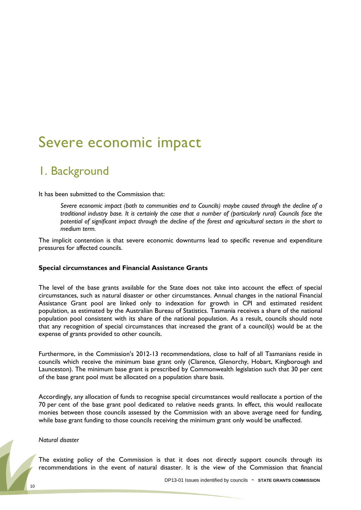# <span id="page-9-0"></span>Severe economic impact

## 1. Background

It has been submitted to the Commission that:

*Severe economic impact (both to communities and to Councils) maybe caused through the decline of a traditional industry base. It is certainly the case that a number of (particularly rural) Councils face the potential of significant impact through the decline of the forest and agricultural sectors in the short to medium term.*

The implicit contention is that severe economic downturns lead to specific revenue and expenditure pressures for affected councils.

#### **Special circumstances and Financial Assistance Grants**

The level of the base grants available for the State does not take into account the effect of special circumstances, such as natural disaster or other circumstances. Annual changes in the national Financial Assistance Grant pool are linked only to indexation for growth in CPI and estimated resident population, as estimated by the Australian Bureau of Statistics. Tasmania receives a share of the national population pool consistent with its share of the national population. As a result, councils should note that any recognition of special circumstances that increased the grant of a council(s) would be at the expense of grants provided to other councils.

Furthermore, in the Commission"s 2012-13 recommendations, close to half of all Tasmanians reside in councils which receive the minimum base grant only (Clarence, Glenorchy, Hobart, Kingborough and Launceston). The minimum base grant is prescribed by Commonwealth legislation such that 30 per cent of the base grant pool must be allocated on a population share basis.

Accordingly, any allocation of funds to recognise special circumstances would reallocate a portion of the 70 per cent of the base grant pool dedicated to relative needs grants. In effect, this would reallocate monies between those councils assessed by the Commission with an above average need for funding, while base grant funding to those councils receiving the minimum grant only would be unaffected.

#### *Natural disaster*

The existing policy of the Commission is that it does not directly support councils through its recommendations in the event of natural disaster. It is the view of the Commission that financial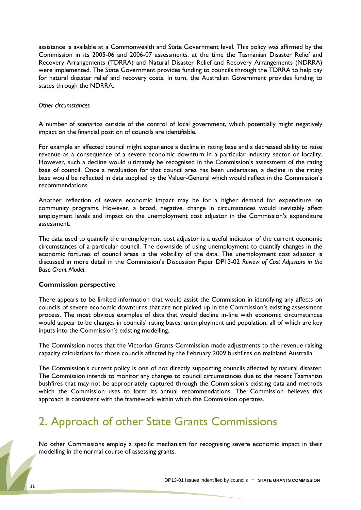assistance is available at a Commonwealth and State Government level. This policy was affirmed by the Commission in its 2005-06 and 2006-07 assessments, at the time the Tasmanian Disaster Relief and Recovery Arrangements (TDRRA) and Natural Disaster Relief and Recovery Arrangements (NDRRA) were implemented. The State Government provides funding to councils through the TDRRA to help pay for natural disaster relief and recovery costs. In turn, the Australian Government provides funding to states through the NDRRA.

#### *Other circumstances*

A number of scenarios outside of the control of local government, which potentially might negatively impact on the financial position of councils are identifiable.

For example an affected council might experience a decline in rating base and a decreased ability to raise revenue as a consequence of a severe economic downturn in a particular industry sector or locality. However, such a decline would ultimately be recognised in the Commission's assessment of the rating base of council. Once a revaluation for that council area has been undertaken, a decline in the rating base would be reflected in data supplied by the Valuer-General which would reflect in the Commission"s recommendations.

Another reflection of severe economic impact may be for a higher demand for expenditure on community programs. However, a broad, negative, change in circumstances would inevitably affect employment levels and impact on the unemployment cost adjustor in the Commission's expenditure assessment.

The data used to quantify the unemployment cost adjustor is a useful indicator of the current economic circumstances of a particular council. The downside of using unemployment to quantify changes in the economic fortunes of council areas is the volatility of the data. The unemployment cost adjustor is discussed in more detail in the Commission"s Discussion Paper DP13-02 *Review of Cost Adjustors in the Base Grant Model*.

#### **Commission perspective**

There appears to be limited information that would assist the Commission in identifying any affects on councils of severe economic downturns that are not picked up in the Commission's existing assessment process. The most obvious examples of data that would decline in-line with economic circumstances would appear to be changes in councils' rating bases, unemployment and population, all of which are key inputs into the Commission's existing modelling.

The Commission notes that the Victorian Grants Commission made adjustments to the revenue raising capacity calculations for those councils affected by the February 2009 bushfires on mainland Australia.

The Commission's current policy is one of not directly supporting councils affected by natural disaster. The Commission intends to monitor any changes to council circumstances due to the recent Tasmanian bushfires that may not be appropriately captured through the Commission's existing data and methods which the Commission uses to form its annual recommendations. The Commission believes this approach is consistent with the framework within which the Commission operates.

# 2. Approach of other State Grants Commissions

No other Commissions employ a specific mechanism for recognising severe economic impact in their modelling in the normal course of assessing grants.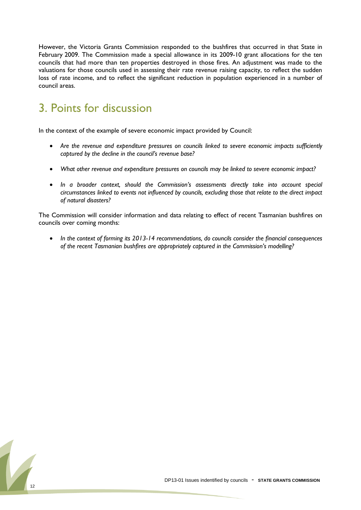However, the Victoria Grants Commission responded to the bushfires that occurred in that State in February 2009. The Commission made a special allowance in its 2009-10 grant allocations for the ten councils that had more than ten properties destroyed in those fires. An adjustment was made to the valuations for those councils used in assessing their rate revenue raising capacity, to reflect the sudden loss of rate income, and to reflect the significant reduction in population experienced in a number of council areas.

# 3. Points for discussion

In the context of the example of severe economic impact provided by Council:

- *Are the revenue and expenditure pressures on councils linked to severe economic impacts sufficiently captured by the decline in the council's revenue base?*
- *What other revenue and expenditure pressures on councils may be linked to severe economic impact?*
- *In a broader context, should the Commission's assessments directly take into account special circumstances linked to events not influenced by councils, excluding those that relate to the direct impact of natural disasters?*

The Commission will consider information and data relating to effect of recent Tasmanian bushfires on councils over coming months:

 *In the context of forming its 2013-14 recommendations, do councils consider the financial consequences of the recent Tasmanian bushfires are appropriately captured in the Commission's modelling?*